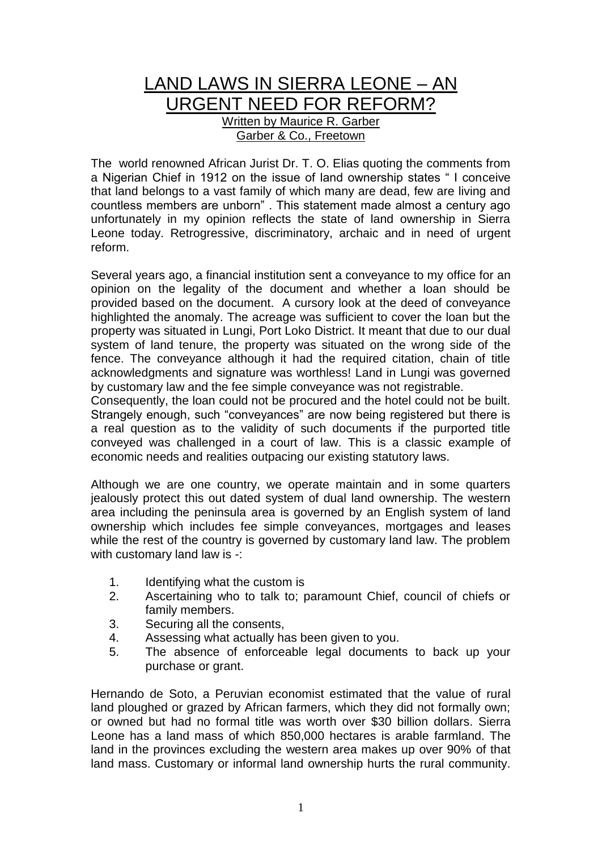## LAND LAWS IN SIERRA LEONE – AN URGENT NEED FOR REFORM? Written by Maurice R. Garber Garber & Co., Freetown

The world renowned African Jurist Dr. T. O. Elias quoting the comments from a Nigerian Chief in 1912 on the issue of land ownership states " I conceive that land belongs to a vast family of which many are dead, few are living and countless members are unborn" . This statement made almost a century ago unfortunately in my opinion reflects the state of land ownership in Sierra Leone today. Retrogressive, discriminatory, archaic and in need of urgent reform.

Several years ago, a financial institution sent a conveyance to my office for an opinion on the legality of the document and whether a loan should be provided based on the document. A cursory look at the deed of conveyance highlighted the anomaly. The acreage was sufficient to cover the loan but the property was situated in Lungi, Port Loko District. It meant that due to our dual system of land tenure, the property was situated on the wrong side of the fence. The conveyance although it had the required citation, chain of title acknowledgments and signature was worthless! Land in Lungi was governed by customary law and the fee simple conveyance was not registrable.

Consequently, the loan could not be procured and the hotel could not be built. Strangely enough, such "conveyances" are now being registered but there is a real question as to the validity of such documents if the purported title conveyed was challenged in a court of law. This is a classic example of economic needs and realities outpacing our existing statutory laws.

Although we are one country, we operate maintain and in some quarters jealously protect this out dated system of dual land ownership. The western area including the peninsula area is governed by an English system of land ownership which includes fee simple conveyances, mortgages and leases while the rest of the country is governed by customary land law. The problem with customary land law is -:

- 1. Identifying what the custom is
- 2. Ascertaining who to talk to; paramount Chief, council of chiefs or family members.
- 3. Securing all the consents,
- 4. Assessing what actually has been given to you.
- 5. The absence of enforceable legal documents to back up your purchase or grant.

Hernando de Soto, a Peruvian economist estimated that the value of rural land ploughed or grazed by African farmers, which they did not formally own; or owned but had no formal title was worth over \$30 billion dollars. Sierra Leone has a land mass of which 850,000 hectares is arable farmland. The land in the provinces excluding the western area makes up over 90% of that land mass. Customary or informal land ownership hurts the rural community.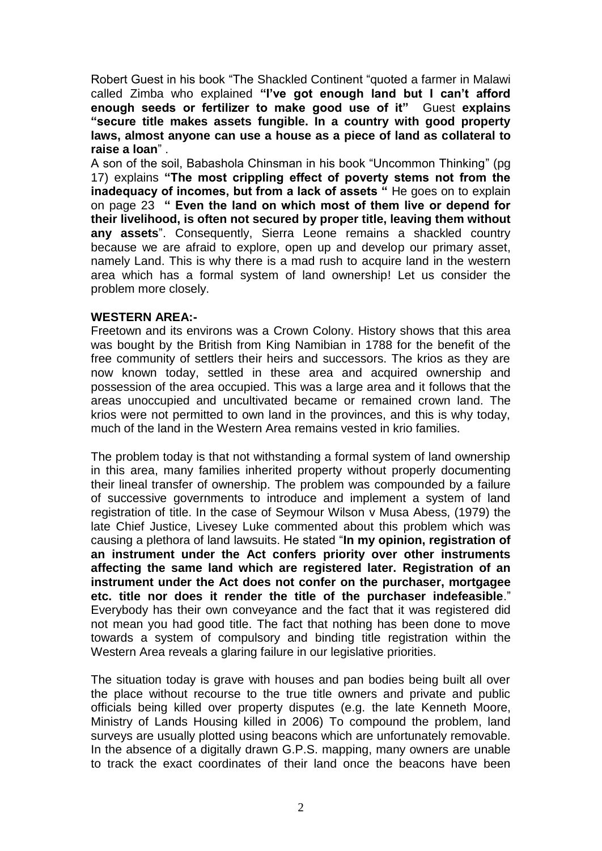Robert Guest in his book "The Shackled Continent "quoted a farmer in Malawi called Zimba who explained **"I've got enough land but I can't afford enough seeds or fertilizer to make good use of it"** Guest **explains "secure title makes assets fungible. In a country with good property laws, almost anyone can use a house as a piece of land as collateral to raise a loan**" .

A son of the soil, Babashola Chinsman in his book "Uncommon Thinking" (pg 17) explains **"The most crippling effect of poverty stems not from the inadequacy of incomes, but from a lack of assets "** He goes on to explain on page 23 **" Even the land on which most of them live or depend for their livelihood, is often not secured by proper title, leaving them without any assets**". Consequently, Sierra Leone remains a shackled country because we are afraid to explore, open up and develop our primary asset, namely Land. This is why there is a mad rush to acquire land in the western area which has a formal system of land ownership! Let us consider the problem more closely.

## **WESTERN AREA:-**

Freetown and its environs was a Crown Colony. History shows that this area was bought by the British from King Namibian in 1788 for the benefit of the free community of settlers their heirs and successors. The krios as they are now known today, settled in these area and acquired ownership and possession of the area occupied. This was a large area and it follows that the areas unoccupied and uncultivated became or remained crown land. The krios were not permitted to own land in the provinces, and this is why today, much of the land in the Western Area remains vested in krio families.

The problem today is that not withstanding a formal system of land ownership in this area, many families inherited property without properly documenting their lineal transfer of ownership. The problem was compounded by a failure of successive governments to introduce and implement a system of land registration of title. In the case of Seymour Wilson v Musa Abess, (1979) the late Chief Justice, Livesey Luke commented about this problem which was causing a plethora of land lawsuits. He stated "**In my opinion, registration of an instrument under the Act confers priority over other instruments affecting the same land which are registered later. Registration of an instrument under the Act does not confer on the purchaser, mortgagee etc. title nor does it render the title of the purchaser indefeasible**." Everybody has their own conveyance and the fact that it was registered did not mean you had good title. The fact that nothing has been done to move towards a system of compulsory and binding title registration within the Western Area reveals a glaring failure in our legislative priorities.

The situation today is grave with houses and pan bodies being built all over the place without recourse to the true title owners and private and public officials being killed over property disputes (e.g. the late Kenneth Moore, Ministry of Lands Housing killed in 2006) To compound the problem, land surveys are usually plotted using beacons which are unfortunately removable. In the absence of a digitally drawn G.P.S. mapping, many owners are unable to track the exact coordinates of their land once the beacons have been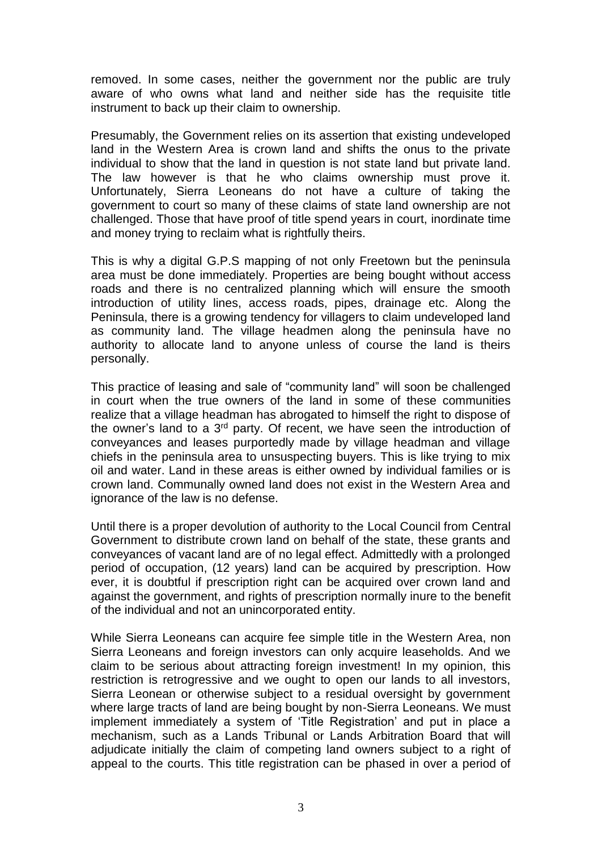removed. In some cases, neither the government nor the public are truly aware of who owns what land and neither side has the requisite title instrument to back up their claim to ownership.

Presumably, the Government relies on its assertion that existing undeveloped land in the Western Area is crown land and shifts the onus to the private individual to show that the land in question is not state land but private land. The law however is that he who claims ownership must prove it. Unfortunately, Sierra Leoneans do not have a culture of taking the government to court so many of these claims of state land ownership are not challenged. Those that have proof of title spend years in court, inordinate time and money trying to reclaim what is rightfully theirs.

This is why a digital G.P.S mapping of not only Freetown but the peninsula area must be done immediately. Properties are being bought without access roads and there is no centralized planning which will ensure the smooth introduction of utility lines, access roads, pipes, drainage etc. Along the Peninsula, there is a growing tendency for villagers to claim undeveloped land as community land. The village headmen along the peninsula have no authority to allocate land to anyone unless of course the land is theirs personally.

This practice of leasing and sale of "community land" will soon be challenged in court when the true owners of the land in some of these communities realize that a village headman has abrogated to himself the right to dispose of the owner's land to a  $3<sup>rd</sup>$  party. Of recent, we have seen the introduction of conveyances and leases purportedly made by village headman and village chiefs in the peninsula area to unsuspecting buyers. This is like trying to mix oil and water. Land in these areas is either owned by individual families or is crown land. Communally owned land does not exist in the Western Area and ignorance of the law is no defense.

Until there is a proper devolution of authority to the Local Council from Central Government to distribute crown land on behalf of the state, these grants and conveyances of vacant land are of no legal effect. Admittedly with a prolonged period of occupation, (12 years) land can be acquired by prescription. How ever, it is doubtful if prescription right can be acquired over crown land and against the government, and rights of prescription normally inure to the benefit of the individual and not an unincorporated entity.

While Sierra Leoneans can acquire fee simple title in the Western Area, non Sierra Leoneans and foreign investors can only acquire leaseholds. And we claim to be serious about attracting foreign investment! In my opinion, this restriction is retrogressive and we ought to open our lands to all investors, Sierra Leonean or otherwise subject to a residual oversight by government where large tracts of land are being bought by non-Sierra Leoneans. We must implement immediately a system of 'Title Registration' and put in place a mechanism, such as a Lands Tribunal or Lands Arbitration Board that will adjudicate initially the claim of competing land owners subject to a right of appeal to the courts. This title registration can be phased in over a period of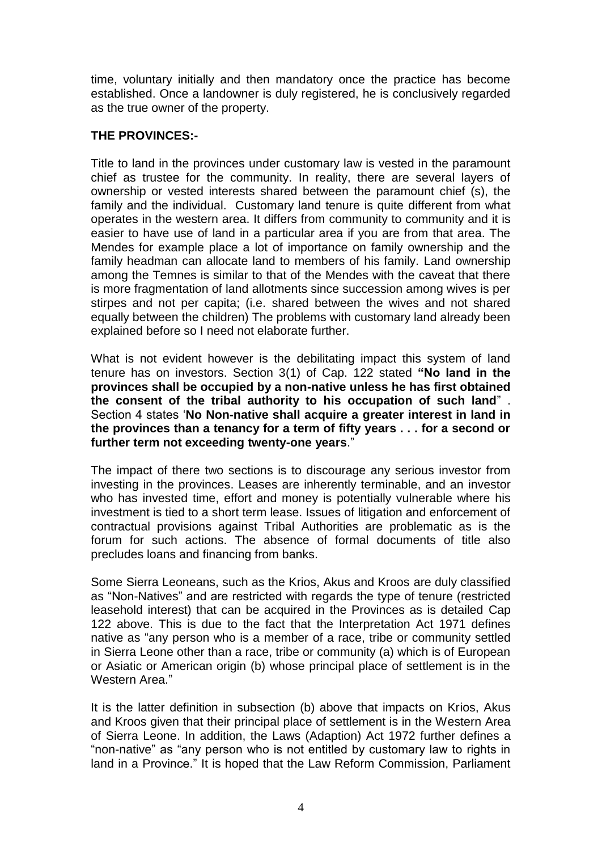time, voluntary initially and then mandatory once the practice has become established. Once a landowner is duly registered, he is conclusively regarded as the true owner of the property.

## **THE PROVINCES:-**

Title to land in the provinces under customary law is vested in the paramount chief as trustee for the community. In reality, there are several layers of ownership or vested interests shared between the paramount chief (s), the family and the individual. Customary land tenure is quite different from what operates in the western area. It differs from community to community and it is easier to have use of land in a particular area if you are from that area. The Mendes for example place a lot of importance on family ownership and the family headman can allocate land to members of his family. Land ownership among the Temnes is similar to that of the Mendes with the caveat that there is more fragmentation of land allotments since succession among wives is per stirpes and not per capita; (i.e. shared between the wives and not shared equally between the children) The problems with customary land already been explained before so I need not elaborate further.

What is not evident however is the debilitating impact this system of land tenure has on investors. Section 3(1) of Cap. 122 stated **"No land in the provinces shall be occupied by a non-native unless he has first obtained the consent of the tribal authority to his occupation of such land**" . Section 4 states '**No Non-native shall acquire a greater interest in land in the provinces than a tenancy for a term of fifty years . . . for a second or further term not exceeding twenty-one years**."

The impact of there two sections is to discourage any serious investor from investing in the provinces. Leases are inherently terminable, and an investor who has invested time, effort and money is potentially vulnerable where his investment is tied to a short term lease. Issues of litigation and enforcement of contractual provisions against Tribal Authorities are problematic as is the forum for such actions. The absence of formal documents of title also precludes loans and financing from banks.

Some Sierra Leoneans, such as the Krios, Akus and Kroos are duly classified as "Non-Natives" and are restricted with regards the type of tenure (restricted leasehold interest) that can be acquired in the Provinces as is detailed Cap 122 above. This is due to the fact that the Interpretation Act 1971 defines native as "any person who is a member of a race, tribe or community settled in Sierra Leone other than a race, tribe or community (a) which is of European or Asiatic or American origin (b) whose principal place of settlement is in the Western Area."

It is the latter definition in subsection (b) above that impacts on Krios, Akus and Kroos given that their principal place of settlement is in the Western Area of Sierra Leone. In addition, the Laws (Adaption) Act 1972 further defines a "non-native" as "any person who is not entitled by customary law to rights in land in a Province." It is hoped that the Law Reform Commission, Parliament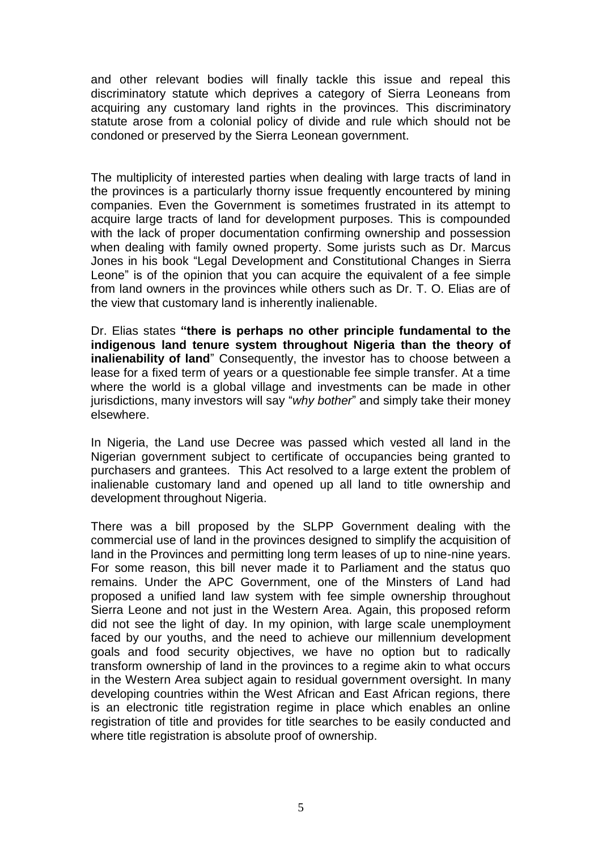and other relevant bodies will finally tackle this issue and repeal this discriminatory statute which deprives a category of Sierra Leoneans from acquiring any customary land rights in the provinces. This discriminatory statute arose from a colonial policy of divide and rule which should not be condoned or preserved by the Sierra Leonean government.

The multiplicity of interested parties when dealing with large tracts of land in the provinces is a particularly thorny issue frequently encountered by mining companies. Even the Government is sometimes frustrated in its attempt to acquire large tracts of land for development purposes. This is compounded with the lack of proper documentation confirming ownership and possession when dealing with family owned property. Some jurists such as Dr. Marcus Jones in his book "Legal Development and Constitutional Changes in Sierra Leone" is of the opinion that you can acquire the equivalent of a fee simple from land owners in the provinces while others such as Dr. T. O. Elias are of the view that customary land is inherently inalienable.

Dr. Elias states **"there is perhaps no other principle fundamental to the indigenous land tenure system throughout Nigeria than the theory of inalienability of land**" Consequently, the investor has to choose between a lease for a fixed term of years or a questionable fee simple transfer. At a time where the world is a global village and investments can be made in other jurisdictions, many investors will say "*why bother*" and simply take their money elsewhere.

In Nigeria, the Land use Decree was passed which vested all land in the Nigerian government subject to certificate of occupancies being granted to purchasers and grantees. This Act resolved to a large extent the problem of inalienable customary land and opened up all land to title ownership and development throughout Nigeria.

There was a bill proposed by the SLPP Government dealing with the commercial use of land in the provinces designed to simplify the acquisition of land in the Provinces and permitting long term leases of up to nine-nine years. For some reason, this bill never made it to Parliament and the status quo remains. Under the APC Government, one of the Minsters of Land had proposed a unified land law system with fee simple ownership throughout Sierra Leone and not just in the Western Area. Again, this proposed reform did not see the light of day. In my opinion, with large scale unemployment faced by our youths, and the need to achieve our millennium development goals and food security objectives, we have no option but to radically transform ownership of land in the provinces to a regime akin to what occurs in the Western Area subject again to residual government oversight. In many developing countries within the West African and East African regions, there is an electronic title registration regime in place which enables an online registration of title and provides for title searches to be easily conducted and where title registration is absolute proof of ownership.